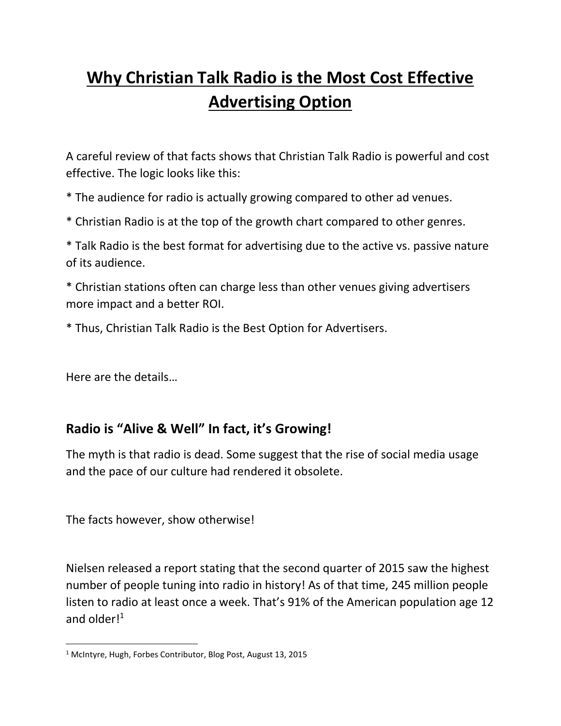# **Why Christian Talk Radio is the Most Cost Effective Advertising Option**

A careful review of that facts shows that Christian Talk Radio is powerful and cost effective. The logic looks like this:

\* The audience for radio is actually growing compared to other ad venues.

\* Christian Radio is at the top of the growth chart compared to other genres.

\* Talk Radio is the best format for advertising due to the active vs. passive nature of its audience.

\* Christian stations often can charge less than other venues giving advertisers more impact and a better ROI.

\* Thus, Christian Talk Radio is the Best Option for Advertisers.

Here are the details…

 $\overline{\phantom{a}}$ 

### **Radio is "Alive & Well" In fact, it's Growing!**

The myth is that radio is dead. Some suggest that the rise of social media usage and the pace of our culture had rendered it obsolete.

The facts however, show otherwise!

Nielsen released a report stating that the second quarter of 2015 saw the highest number of people tuning into radio in history! As of that time, 245 million people listen to radio at least once a week. That's 91% of the American population age 12 and older $l^1$ 

<sup>1</sup> McIntyre, Hugh, Forbes Contributor, Blog Post, August 13, 2015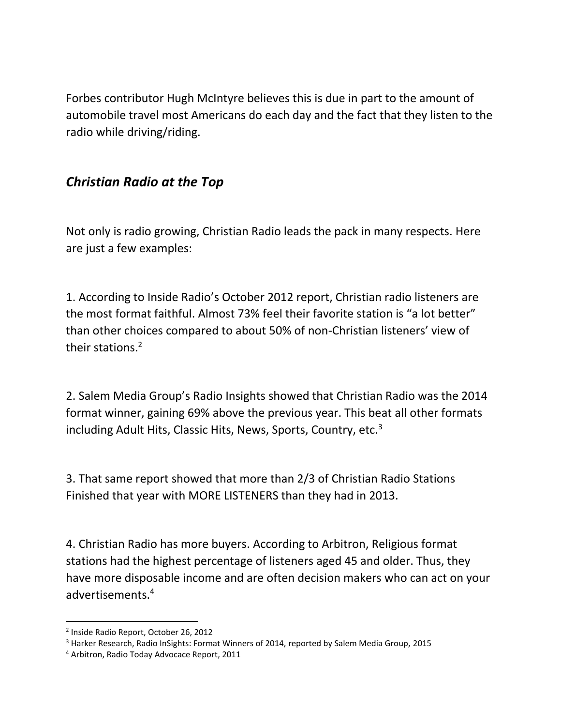Forbes contributor Hugh McIntyre believes this is due in part to the amount of automobile travel most Americans do each day and the fact that they listen to the radio while driving/riding.

### *Christian Radio at the Top*

Not only is radio growing, Christian Radio leads the pack in many respects. Here are just a few examples:

1. According to Inside Radio's October 2012 report, Christian radio listeners are the most format faithful. Almost 73% feel their favorite station is "a lot better" than other choices compared to about 50% of non-Christian listeners' view of their stations.<sup>2</sup>

2. Salem Media Group's Radio Insights showed that Christian Radio was the 2014 format winner, gaining 69% above the previous year. This beat all other formats including Adult Hits, Classic Hits, News, Sports, Country, etc.<sup>3</sup>

3. That same report showed that more than 2/3 of Christian Radio Stations Finished that year with MORE LISTENERS than they had in 2013.

4. Christian Radio has more buyers. According to Arbitron, Religious format stations had the highest percentage of listeners aged 45 and older. Thus, they have more disposable income and are often decision makers who can act on your advertisements.<sup>4</sup>

 $\overline{\phantom{a}}$ 

<sup>2</sup> Inside Radio Report, October 26, 2012

<sup>&</sup>lt;sup>3</sup> Harker Research, Radio InSights: Format Winners of 2014, reported by Salem Media Group, 2015

<sup>4</sup> Arbitron, Radio Today Advocace Report, 2011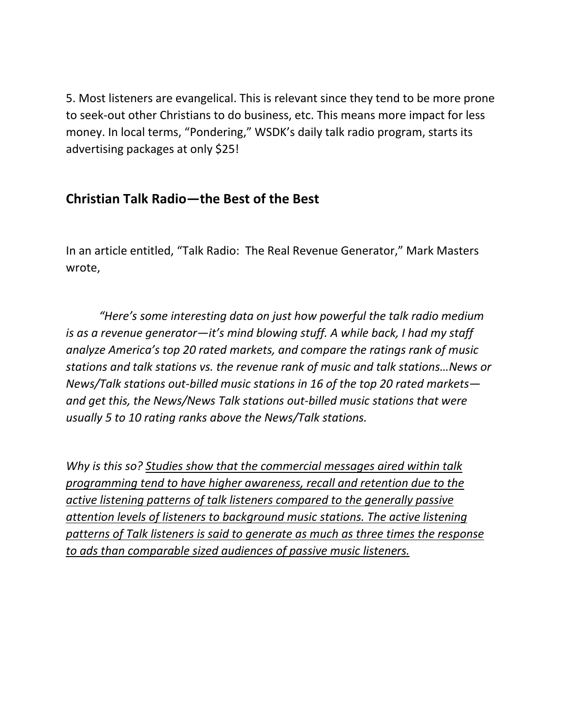5. Most listeners are evangelical. This is relevant since they tend to be more prone to seek-out other Christians to do business, etc. This means more impact for less money. In local terms, "Pondering," WSDK's daily talk radio program, starts its advertising packages at only \$25!

# **Christian Talk Radio—the Best of the Best**

In an article entitled, "Talk Radio: The Real Revenue Generator," Mark Masters wrote,

*"Here's some interesting data on just how powerful the talk radio medium is as a revenue generator—it's mind blowing stuff. A while back, I had my staff analyze America's top 20 rated markets, and compare the ratings rank of music stations and talk stations vs. the revenue rank of music and talk stations…News or News/Talk stations out-billed music stations in 16 of the top 20 rated markets and get this, the News/News Talk stations out-billed music stations that were usually 5 to 10 rating ranks above the News/Talk stations.*

*Why is this so? Studies show that the commercial messages aired within talk programming tend to have higher awareness, recall and retention due to the active listening patterns of talk listeners compared to the generally passive attention levels of listeners to background music stations. The active listening patterns of Talk listeners is said to generate as much as three times the response to ads than comparable sized audiences of passive music listeners.*